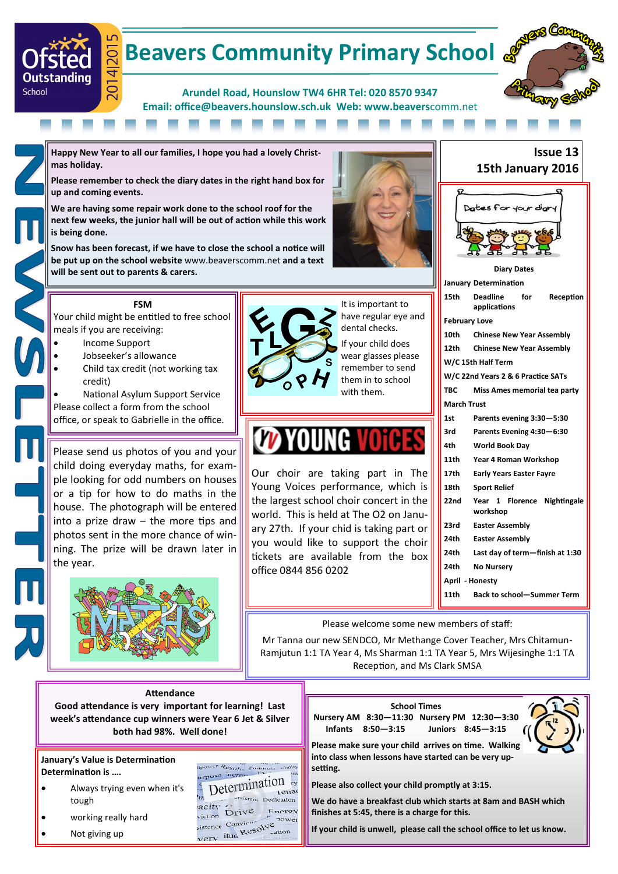# **Beavers Community Primary School &**



**Arundel Road, Hounslow TW4 6HR Tel: 020 8570 9347 Email: office@beavers.hounslow.sch.uk Web: www.beavers**comm.net



**Happy New Year to all our families, I hope you had a lovely Christmas holiday.** 

**Please remember to check the diary dates in the right hand box for up and coming events.**

**We are having some repair work done to the school roof for the next few weeks, the junior hall will be out of action while this work is being done.**

**Snow has been forecast, if we have to close the school a notice will be put up on the school website** www.beaverscomm.net **and a text will be sent out to parents & carers.**

**FSM**

Child tax credit (not working tax

National Asylum Support Service

 Income Support Jobseeker's allowance

**201** ₹

201

Outstanding

School

credit)



### **Issue 13 15th January 2016**



**Diary Dates January Determination 15th Deadline for Reception applications February Love 10th Chinese New Year Assembly 12th Chinese New Year Assembly W/C 15th Half Term W/C 22nd Years 2 & 6 Practice SATs TBC Miss Ames memorial tea party March Trust 1st Parents evening 3:30—5:30 3rd Parents Evening 4:30—6:30 4th World Book Day 11th Year 4 Roman Workshop 17th Early Years Easter Fayre 18th Sport Relief 22nd Year 1 Florence Nightingale workshop 23rd Easter Assembly 24th Easter Assembly 24th Last day of term—finish at 1:30 24th No Nursery April - Honesty 11th Back to school—Summer Term**

Please welcome some new members of staff:

Mr Tanna our new SENDCO, Mr Methange Cover Teacher, Mrs Chitamun-Ramjutun 1:1 TA Year 4, Ms Sharman 1:1 TA Year 5, Mrs Wijesinghe 1:1 TA Reception, and Ms Clark SMSA

**Attendance Good attendance is very important for learning! Last week's attendance cup winners were Year 6 Jet & Silver both had 98%. Well done!**

**January's Value is Determination Determination is ….**

- Always trying even when it's tough
- working really hard
- Not giving up

## upower Resolu, Fortingly sibility<br>urpose *increw* Determination Illinum<br>Ienae  $\frac{\text{acity}}{\text{of}} \overbrace{\text{Oriv}}^{\text{error}}$ viction Drive Energy<br>sistence Conviction Tower<br>very itud Resolvements



### **School Times**

**Nursery AM 8:30—11:30 Nursery PM 12:30—3:30 Infants 8:50—3:15 Juniors 8:45—3:15**



**Please make sure your child arrives on time. Walking into class when lessons have started can be very upsetting.**

**Please also collect your child promptly at 3:15.**

**We do have a breakfast club which starts at 8am and BASH which finishes at 5:45, there is a charge for this.**

**If your child is unwell, please call the school office to let us know.**



It is important to have regular eye and dental checks.

If your child does wear glasses please remember to send them in to school with them.

Our choir are taking part in The Young Voices performance, which is the largest school choir concert in the world. This is held at The O2 on January 27th. If your chid is taking part or you would like to support the choir tickets are available from the box office 0844 856 0202